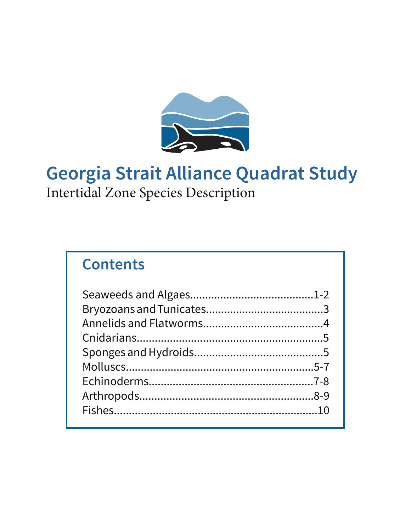

# **Georgia Strait Alliance Quadrat Study**

Intertidal Zone Species Description

# **Contents**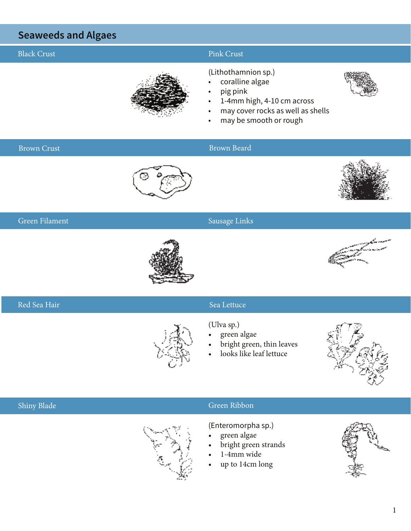## **Seaweeds and Algaes**

## Black Crust **Pink Crust** Pink Crust

#### (Lithothamnion sp.)

- coralline algae
	- pig pink
	- 1-4mm high, 4-10 cm across
	- may cover rocks as well as shells
	- may be smooth or rough

#### Brown Crust Brown Beard



#### Green Filament Sausage Links Sausage Links





### Red Sea Hair Sea Lettuce

- (Ulva sp.)
- green algae
- bright green, thin leaves
- looks like leaf lettuce



#### Shiny Blade Green Ribbon Green Ribbon

(Enteromorpha sp.)

- green algae
- bright green strands
- 1-4mm wide
- up to 14cm long

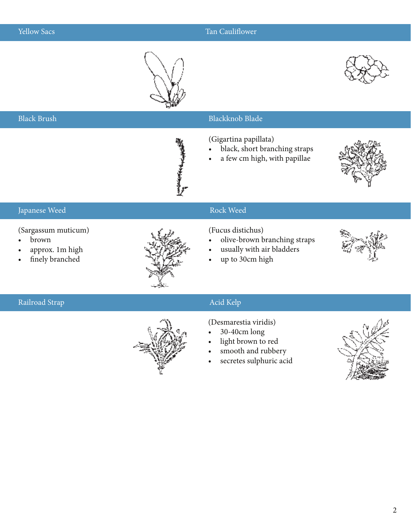Black Brush

### **Yellow Sacs** Tan Cauliflower

Blackknob Blade





# (Gigartina papillata) black, short branching straps a few cm high, with papillae **ENGINEER** Japanese Weed Rock Weed Rock Weed Rock Weed Rock Weed Rock Weed Rock Weed Rock Weed Rock Weed Rock Weed Rock Weed Rock Weed Rock Weed Rock Weed Rock Weed Rock Weed Rock Weed Rock Weed Rock Weed Rock And All and All and All

#### (Sargassum muticum)

- • brown
- approx. 1m high
- finely branched



#### (Fucus distichus)

- olive-brown branching straps
- usually with air bladders
- up to 30cm high



### Railroad Strap Acid Kelp Acid Kelp Acid Kelp Acid Kelp Acid Kelp Acid Kelp Acid Kelp Acid Kelp Acid Kelp Acid Kelp Acid Kelp Acid Kelp Acid Kelp Acid Kelp Acid Kelp Acid Kelp Acid Kelp Acid Kelp Acid Kelp Acid Kelp Acid Ke



#### (Desmarestia viridis)

- $30-40$ cm long
- light brown to red
- smooth and rubbery
- secretes sulphuric acid



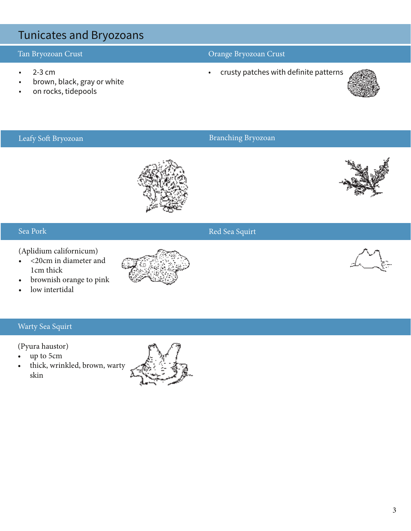## Tunicates and Bryozoans

- 
- • brown, black, gray or white
- on rocks, tidepools

### Tan Bryozoan Crust Orange Bryozoan Crust

• 2-3 cm **•** crusty patches with definite patterns



### Leafy Soft Bryozoan Branching Bryozoan Branching Bryozoan



#### Sea Pork

(Aplidium californicum)

- • <20cm in diameter and 1cm thick
- • brownish orange to pink
- low intertidal

### Warty Sea Squirt

(Pyura haustor)

- up to 5cm
- • thick, wrinkled, brown, warty skin



### Red Sea Squirt

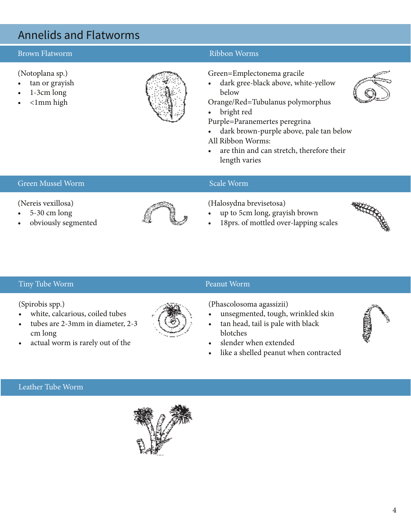## Annelids and Flatworms

#### Brown Flatworm **Ribbon Worms** Ribbon Worms **Ribbon Worms**

#### (Notoplana sp.)

- tan or grayish
- $1-3$ cm long
- $\leq$ 1mm high



#### Green=Emplectonema gracile

dark gree-black above, white-yellow below

Orange/Red=Tubulanus polymorphus

• bright red

Purple=Paranemertes peregrina

• dark brown-purple above, pale tan below

All Ribbon Worms:

• are thin and can stretch, therefore their length varies

#### Green Mussel Worm Scale Worm Scale Worm Scale Worm Scale Worm Scale Worm Scale Worm Scale Worm Scale Worm Scale Worm Scale Worm Scale Worm Scale Worm Scale Worm Scale Worm Scale Worm Scale Worm Scale Worm Scale Worm Scale

#### (Nereis vexillosa)

- $5-30$  cm long
- obviously segmented



#### (Halosydna brevisetosa)

- up to 5cm long, grayish brown
- 18prs. of mottled over-lapping scales



#### Tiny Tube Worm

#### (Spirobis spp.)

- white, calcarious, coiled tubes
- tubes are 2-3mm in diameter, 2-3 cm long
- actual worm is rarely out of the

# Peanut Worm

(Phascolosoma agassizii)

- unsegmented, tough, wrinkled skin
- tan head, tail is pale with black blotches
- slender when extended
- like a shelled peanut when contracted

Leather Tube Worm





4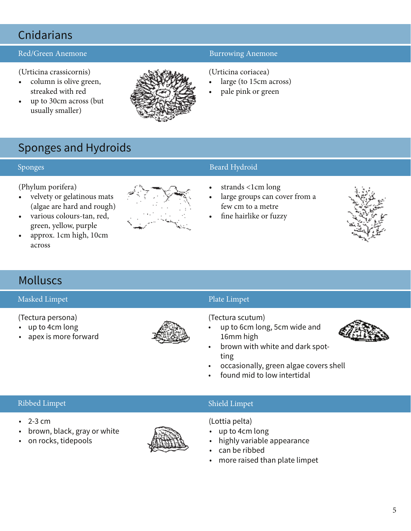## **Cnidarians**

#### Red/Green Anemone **Burrowing Anemone** Burrowing Anemone

(Urticina crassicornis)

- • column is olive green, streaked with red
- up to 30cm across (but usually smaller)



#### (Urticina coriacea)

- large (to 15cm across)
- pale pink or green

## Sponges and Hydroids

(Phylum porifera)

- • velvety or gelatinous mats (algae are hard and rough)
- • various colours-tan, red, green, yellow, purple
- approx. 1cm high, 10cm across



### Sponges Beard Hydroid and Sponges Beard Hydroid

- strands <1cm long
- large groups can cover from a few cm to a metre
- fine hairlike or fuzzy



## Molluscs

#### Masked Limpet **Plate Limpet** Plate Limpet **Plate Limpet**

- (Tectura persona)
- • up to 4cm long
- • apex is more forward



#### (Tectura scutum)

up to 6cm long, 5cm wide and 16mm high



- brown with white and dark spotting
- occasionally, green algae covers shell
- found mid to low intertidal

#### Ribbed Limpet Shield Limpet Shield Limpet Shield Limpet Shield Limpet Shield Limpet Shield Limpet Shield Limpet

- $\cdot$  2-3 cm
- brown, black, gray or white
- • on rocks, tidepools



(Lottia pelta)

- up to 4cm long
- highly variable appearance
- can be ribbed
- more raised than plate limpet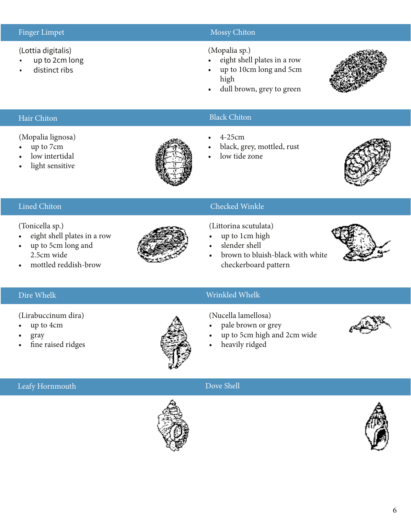#### (Lottia digitalis)

- up to 2cm long
- distinct ribs

### Finger Limpet Mossy Chiton and The Mossy Chiton Mossy Chiton and The Mossy Chiton Mossy Chiton

#### (Mopalia sp.)

- eight shell plates in a row
- up to 10cm long and 5cm high
- dull brown, grey to green



#### Hair Chiton

#### (Mopalia lignosa)

- • up to 7cm
- low intertidal
- light sensitive



### Black Chiton

- • 4-25cm
- black, grey, mottled, rust
- low tide zone



#### Lined Chiton

#### (Tonicella sp.)

- • eight shell plates in a row
- up to 5cm long and 2.5cm wide
- mottled reddish-brow



#### Checked Winkle

(Littorina scutulata)

- up to 1cm high
- slender shell
- brown to bluish-black with white checkerboard pattern



### Dire Whelk Wrinkled Whelk

#### (Lirabuccinum dira)

- up to 4cm
- gray
- fine raised ridges



- (Nucella lamellosa)
- pale brown or grey
- up to 5cm high and 2cm wide
- heavily ridged



### Leafy Hornmouth Dove Shell



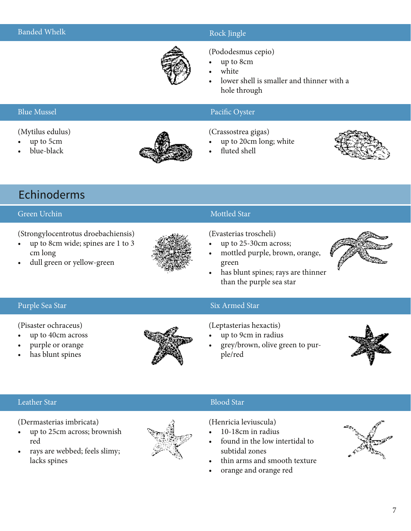#### Rock Jingle



#### (Pododesmus cepio)

- up to 8cm
- white
- lower shell is smaller and thinner with a hole through

#### Blue Mussel

#### (Mytilus edulus)

- up to 5cm
- blue-black



#### Pacific Oyster

(Crassostrea gigas)

- up to 20cm long; white
- fluted shell



## Echinoderms

#### Green Urchin

(Strongylocentrotus droebachiensis)

- • up to 8cm wide; spines are 1 to 3 cm long
- dull green or yellow-green



#### Mottled Star

(Evasterias troscheli)

- up to 25-30cm across;
- mottled purple, brown, orange, green
- has blunt spines; rays are thinner than the purple sea star



#### Purple Sea Star

(Pisaster ochraceus)

- up to 40cm across
- purple or orange
- has blunt spines



### Six Armed Star

#### (Leptasterias hexactis)

- up to 9cm in radius
- grey/brown, olive green to purple/red



#### Leather Star

(Dermasterias imbricata)

- • up to 25cm across; brownish red
- rays are webbed; feels slimy; lacks spines



### Blood Star

(Henricia leviuscula)

- 10-18cm in radius
- found in the low intertidal to subtidal zones
- thin arms and smooth texture
- orange and orange red

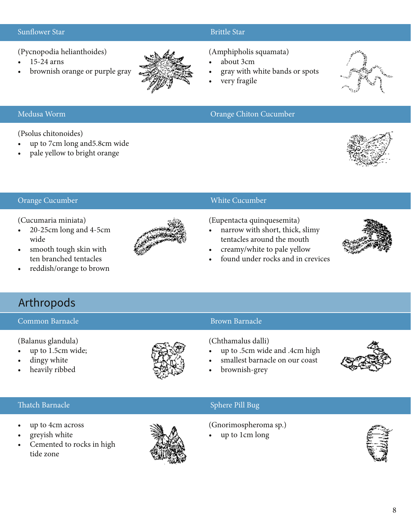#### Sunflower Star

(Pycnopodia helianthoides)

- 15-24 arns
- brownish orange or purple gray



#### Brittle Star

(Amphipholis squamata)

Orange Chiton Cucumber

- about 3cm
- gray with white bands or spots
- very fragile



#### Medusa Worm

(Psolus chitonoides)

- up to 7cm long and 5.8cm wide
- pale yellow to bright orange



#### Orange Cucumber

(Cucumaria miniata)

- • 20-25cm long and 4-5cm wide
- smooth tough skin with ten branched tentacles
- reddish/orange to brown



### White Cucumber

(Eupentacta quinquesemita)

- narrow with short, thick, slimy tentacles around the mouth
- creamy/white to pale yellow
- found under rocks and in crevices



## Arthropods

#### Common Barnacle

(Balanus glandula)

- • up to 1.5cm wide;
- dingy white
- heavily ribbed



### Brown Barnacle

(Chthamalus dalli)

- up to .5cm wide and .4cm high
- smallest barnacle on our coast
- brownish-grey



### Thatch Barnacle

- up to 4cm across
- greyish white
- Cemented to rocks in high tide zone



### Sphere Pill Bug

(Gnorimospheroma sp.)

up to 1cm long

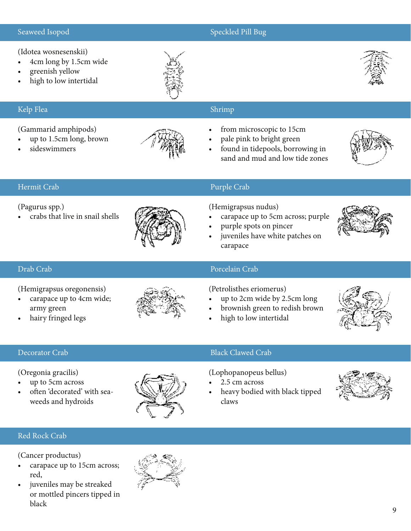#### Seaweed Isopod

#### Speckled Pill Bug

(Idotea wosnesenskii)

- 4cm long by 1.5cm wide
- greenish yellow
- high to low intertidal

### Kelp Flea

#### (Gammarid amphipods)

- up to 1.5cm long, brown
- sideswimmers



### Shrimp

- from microscopic to 15cm
- pale pink to bright green
- found in tidepools, borrowing in sand and mud and low tide zones



#### Hermit Crab

#### (Pagurus spp.)

crabs that live in snail shells



### Purple Crab

(Hemigrapsus nudus)

- carapace up to 5cm across; purple
- purple spots on pincer
- juveniles have white patches on carapace

#### Drab Crab

(Hemigrapsus oregonensis)

- carapace up to 4cm wide; army green
- hairy fringed legs



#### Porcelain Crab

(Petrolisthes eriomerus)

- up to 2cm wide by 2.5cm long
- brownish green to redish brown
- high to low intertidal



#### Decorator Crab

(Oregonia gracilis)

- up to 5cm across
- often 'decorated' with seaweeds and hydroids



#### Black Clawed Crab

(Lophopanopeus bellus)

- 2.5 cm across
- heavy bodied with black tipped claws



#### Red Rock Crab

(Cancer productus)

- carapace up to 15cm across; red,
- juveniles may be streaked or mottled pincers tipped in black